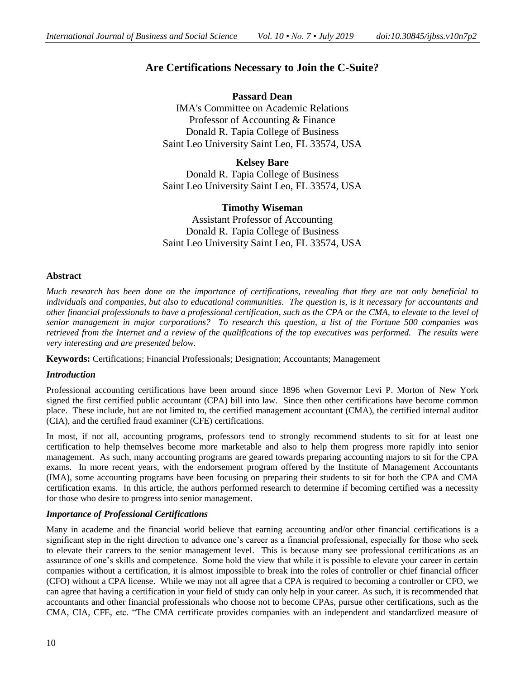# **Are Certifications Necessary to Join the C-Suite?**

**Passard Dean** IMA's Committee on Academic Relations Professor of Accounting & Finance Donald R. Tapia College of Business Saint Leo University Saint Leo, FL 33574, USA

**Kelsey Bare** Donald R. Tapia College of Business Saint Leo University Saint Leo, FL 33574, USA

## **Timothy Wiseman**

Assistant Professor of Accounting Donald R. Tapia College of Business Saint Leo University Saint Leo, FL 33574, USA

### **Abstract**

*Much research has been done on the importance of certifications, revealing that they are not only beneficial to individuals and companies, but also to educational communities. The question is, is it necessary for accountants and other financial professionals to have a professional certification, such as the CPA or the CMA, to elevate to the level of senior management in major corporations? To research this question, a list of the Fortune 500 companies was retrieved from the Internet and a review of the qualifications of the top executives was performed. The results were very interesting and are presented below.*

**Keywords:** Certifications; Financial Professionals; Designation; Accountants; Management

### *Introduction*

Professional accounting certifications have been around since 1896 when Governor Levi P. Morton of New York signed the first certified public accountant (CPA) bill into law. Since then other certifications have become common place. These include, but are not limited to, the certified management accountant (CMA), the certified internal auditor (CIA), and the certified fraud examiner (CFE) certifications.

In most, if not all, accounting programs, professors tend to strongly recommend students to sit for at least one certification to help themselves become more marketable and also to help them progress more rapidly into senior management. As such, many accounting programs are geared towards preparing accounting majors to sit for the CPA exams. In more recent years, with the endorsement program offered by the Institute of Management Accountants (IMA), some accounting programs have been focusing on preparing their students to sit for both the CPA and CMA certification exams. In this article, the authors performed research to determine if becoming certified was a necessity for those who desire to progress into senior management.

### *Importance of Professional Certifications*

Many in academe and the financial world believe that earning accounting and/or other financial certifications is a significant step in the right direction to advance one's career as a financial professional, especially for those who seek to elevate their careers to the senior management level. This is because many see professional certifications as an assurance of one's skills and competence. Some hold the view that while it is possible to elevate your career in certain companies without a certification, it is almost impossible to break into the roles of controller or chief financial officer (CFO) without a CPA license. While we may not all agree that a CPA is required to becoming a controller or CFO, we can agree that having a certification in your field of study can only help in your career. As such, it is recommended that accountants and other financial professionals who choose not to become CPAs, pursue other certifications, such as the CMA, CIA, CFE, etc. "The CMA certificate provides companies with an independent and standardized measure of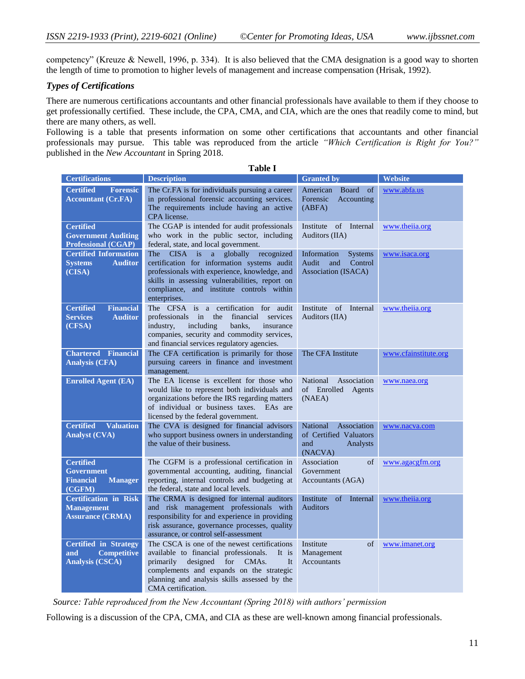competency" (Kreuze & Newell, 1996, p. 334). It is also believed that the CMA designation is a good way to shorten the length of time to promotion to higher levels of management and increase compensation (Hrisak, 1992).

# *Types of Certifications*

There are numerous certifications accountants and other financial professionals have available to them if they choose to get professionally certified. These include, the CPA, CMA, and CIA, which are the ones that readily come to mind, but there are many others, as well.

Following is a table that presents information on some other certifications that accountants and other financial professionals may pursue. This table was reproduced from the article *"Which Certification is Right for You?"* published in the *New Accountant* in Spring 2018.

| <b>Certifications</b>                                                                 | <b>Description</b>                                                                                                                                                                                                                                                                  | <b>Granted by</b>                                                               | Website              |
|---------------------------------------------------------------------------------------|-------------------------------------------------------------------------------------------------------------------------------------------------------------------------------------------------------------------------------------------------------------------------------------|---------------------------------------------------------------------------------|----------------------|
| <b>Certified</b><br><b>Forensic</b><br><b>Accountant (Cr.FA)</b>                      | The Cr.FA is for individuals pursuing a career<br>in professional forensic accounting services.<br>The requirements include having an active<br>CPA license.                                                                                                                        | American<br><b>Board</b><br>of<br>Forensic<br>Accounting<br>(ABFA)              | www.abfa.us          |
| <b>Certified</b><br><b>Government Auditing</b><br><b>Professional (CGAP)</b>          | The CGAP is intended for audit professionals<br>who work in the public sector, including<br>federal, state, and local government.                                                                                                                                                   | of<br>Internal<br>Institute<br>Auditors (IIA)                                   | www.theiia.org       |
| <b>Certified Information</b><br><b>Systems</b><br><b>Auditor</b><br>(CISA)            | recognized<br>The<br><b>CISA</b><br>globally<br>is<br>$\mathbf{a}$<br>certification for information systems audit<br>professionals with experience, knowledge, and<br>skills in assessing vulnerabilities, report on<br>compliance, and institute controls within<br>enterprises.   | Information<br><b>Systems</b><br>Control<br>Audit<br>and<br>Association (ISACA) | www.isaca.org        |
| <b>Certified</b><br><b>Financial</b><br><b>Services</b><br><b>Auditor</b><br>(CFSA)   | The CFSA is a certification for audit<br>professionals in<br>the<br>financial<br>services<br>industry,<br>including<br>banks,<br>insurance<br>companies, security and commodity services,<br>and financial services regulatory agencies.                                            | of Internal<br>Institute<br>Auditors (IIA)                                      | www.theiia.org       |
| <b>Chartered</b><br><b>Financial</b><br><b>Analysis (CFA)</b>                         | The CFA certification is primarily for those<br>pursuing careers in finance and investment<br>management.                                                                                                                                                                           | The CFA Institute                                                               | www.cfainstitute.org |
| <b>Enrolled Agent (EA)</b>                                                            | The EA license is excellent for those who<br>would like to represent both individuals and<br>organizations before the IRS regarding matters<br>of individual or business taxes.<br>EAs are<br>licensed by the federal government.                                                   | National<br>Association<br>of Enrolled<br>Agents<br>(NAEA)                      | www.naea.org         |
| <b>Valuation</b><br><b>Certified</b><br><b>Analyst (CVA)</b>                          | The CVA is designed for financial advisors<br>who support business owners in understanding<br>the value of their business.                                                                                                                                                          | National<br>Association<br>of Certified Valuators<br>and<br>Analysts<br>(NACVA) | www.nacva.com        |
| <b>Certified</b><br><b>Government</b><br><b>Financial</b><br><b>Manager</b><br>(CGFM) | The CGFM is a professional certification in<br>governmental accounting, auditing, financial<br>reporting, internal controls and budgeting at<br>the federal, state and local levels.                                                                                                | Association<br>of<br>Government<br>Accountants (AGA)                            | www.agacgfm.org      |
| <b>Certification</b> in Risk<br><b>Management</b><br><b>Assurance (CRMA)</b>          | The CRMA is designed for internal auditors<br>and risk management professionals with<br>responsibility for and experience in providing<br>risk assurance, governance processes, quality<br>assurance, or control self-assessment                                                    | Institute<br>of<br>Internal<br><b>Auditors</b>                                  | www.theiia.org       |
| <b>Certified in Strategy</b><br><b>Competitive</b><br>and<br><b>Analysis (CSCA)</b>   | The CSCA is one of the newest certifications<br>available to financial professionals.<br>It is<br>designed<br>for<br>primarily<br>CMA <sub>s</sub> .<br><b>It</b><br>complements and expands on the strategic<br>planning and analysis skills assessed by the<br>CMA certification. | Institute<br>of<br>Management<br><b>Accountants</b>                             | www.imanet.org       |

**Table I**

 *Source: Table reproduced from the New Accountant (Spring 2018) with authors' permission*

Following is a discussion of the CPA, CMA, and CIA as these are well-known among financial professionals.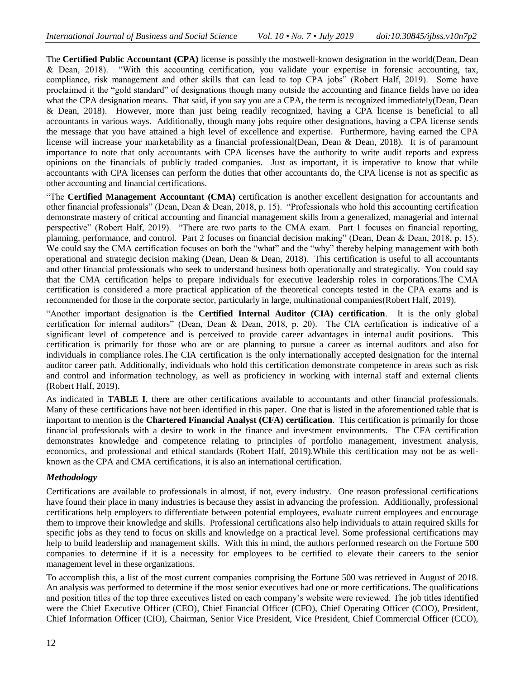The **Certified Public Accountant (CPA)** license is possibly the mostwell-known designation in the world(Dean, Dean & Dean, 2018). "With this accounting certification, you validate your expertise in forensic accounting, tax, compliance, risk management and other skills that can lead to top CPA jobs" (Robert Half, 2019). Some have proclaimed it the "gold standard" of designations though many outside the accounting and finance fields have no idea what the CPA designation means. That said, if you say you are a CPA, the term is recognized immediately(Dean, Dean & Dean, 2018). However, more than just being readily recognized, having a CPA license is beneficial to all accountants in various ways. Additionally, though many jobs require other designations, having a CPA license sends the message that you have attained a high level of excellence and expertise. Furthermore, having earned the CPA license will increase your marketability as a financial professional(Dean, Dean & Dean, 2018). It is of paramount importance to note that only accountants with CPA licenses have the authority to write audit reports and express opinions on the financials of publicly traded companies. Just as important, it is imperative to know that while accountants with CPA licenses can perform the duties that other accountants do, the CPA license is not as specific as other accounting and financial certifications.

"The **Certified Management Accountant (CMA)** certification is another excellent designation for accountants and other financial professionals" (Dean, Dean & Dean, 2018, p. 15). "Professionals who hold this accounting certification demonstrate mastery of critical accounting and financial management skills from a generalized, managerial and internal perspective" (Robert Half, 2019). "There are two parts to the CMA exam. Part 1 focuses on financial reporting, planning, performance, and control. Part 2 focuses on financial decision making" (Dean, Dean & Dean, 2018, p. 15). We could say the CMA certification focuses on both the "what" and the "why" thereby helping management with both operational and strategic decision making (Dean, Dean & Dean, 2018). This certification is useful to all accountants and other financial professionals who seek to understand business both operationally and strategically. You could say that the CMA certification helps to prepare individuals for executive leadership roles in corporations.The CMA certification is considered a more practical application of the theoretical concepts tested in the CPA exams and is recommended for those in the corporate sector, particularly in large, multinational companies(Robert Half, 2019).

"Another important designation is the **Certified Internal Auditor (CIA) certification**. It is the only global certification for internal auditors" (Dean, Dean & Dean, 2018, p. 20). The CIA certification is indicative of a significant level of competence and is perceived to provide career advantages in internal audit positions. This certification is primarily for those who are or are planning to pursue a career as internal auditors and also for individuals in compliance roles.The CIA certification is the only internationally accepted designation for the internal auditor career path. Additionally, individuals who hold this certification demonstrate competence in areas such as risk and control and information technology, as well as proficiency in working with internal staff and external clients (Robert Half, 2019).

As indicated in **TABLE I**, there are other certifications available to accountants and other financial professionals. Many of these certifications have not been identified in this paper. One that is listed in the aforementioned table that is important to mention is the **Chartered Financial Analyst (CFA) certification**. This certification is primarily for those financial professionals with a desire to work in the finance and investment environments. The CFA certification demonstrates knowledge and competence relating to principles of portfolio management, investment analysis, economics, and professional and ethical standards (Robert Half, 2019).While this certification may not be as wellknown as the CPA and CMA certifications, it is also an international certification.

### *Methodology*

Certifications are available to professionals in almost, if not, every industry. One reason professional certifications have found their place in many industries is because they assist in advancing the profession. Additionally, professional certifications help employers to differentiate between potential employees, evaluate current employees and encourage them to improve their knowledge and skills. Professional certifications also help individuals to attain required skills for specific jobs as they tend to focus on skills and knowledge on a practical level. Some professional certifications may help to build leadership and management skills. With this in mind, the authors performed research on the Fortune 500 companies to determine if it is a necessity for employees to be certified to elevate their careers to the senior management level in these organizations.

To accomplish this, a list of the most current companies comprising the Fortune 500 was retrieved in August of 2018. An analysis was performed to determine if the most senior executives had one or more certifications. The qualifications and position titles of the top three executives listed on each company's website were reviewed. The job titles identified were the Chief Executive Officer (CEO), Chief Financial Officer (CFO), Chief Operating Officer (COO), President, Chief Information Officer (CIO), Chairman, Senior Vice President, Vice President, Chief Commercial Officer (CCO),